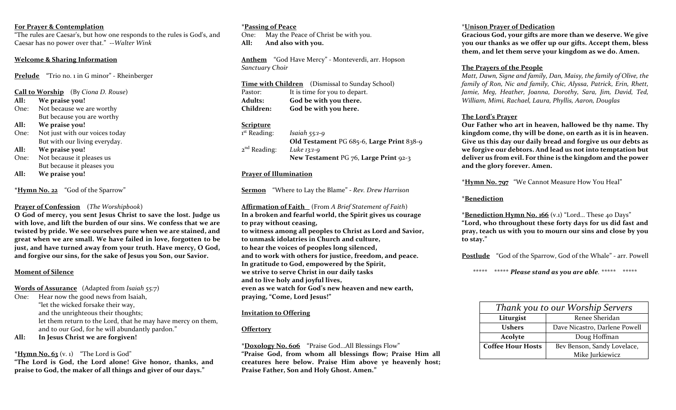#### **For Prayer & Contemplation**

"The rules are Caesar's, but how one responds to the rules is God's, and Caesar has no power over that." --*Walter Wink*

## **Welcome & Sharing Information**

**Prelude** "Trio no. 1 in G minor" - Rheinberger

**Call to Worship** (By *Ciona D. Rouse*)

- **All: We praise you!**
- One: Not because we are worthy But because you are worthy
- **All: We praise you!**
- One: Not just with our voices today But with our living everyday.
- **All: We praise you!**
- One: Not because it pleases us But because it pleases you
- **All: We praise you!**

**\*Hymn No. 22** "God of the Sparrow"

#### **Prayer of Confession** (*The Worshipbook*)

**O God of mercy, you sent Jesus Christ to save the lost. Judge us with love, and lift the burden of our sins. We confess that we are twisted by pride. We see ourselves pure when we are stained, and great when we are small. We have failed in love, forgotten to be just, and have turned away from your truth. Have mercy, O God, and forgive our sins, for the sake of Jesus you Son, our Savior.** 

#### **Moment of Silence**

**Words of Assurance** (Adapted from *Isaiah 55:7*)

One: Hear now the good news from Isaiah, "let the wicked forsake their way, and the unrighteous their thoughts; let them return to the Lord, that he may have mercy on them, and to our God, for he will abundantly pardon."

**All: In Jesus Christ we are forgiven!**

## $*$ **Hymn No. 63** (v. 1) "The Lord is God"

**"The Lord is God, the Lord alone! Give honor, thanks, and praise to God, the maker of all things and giver of our days."**

## **\*Passing of Peace**

One: May the Peace of Christ be with you. **All: And also with you.** 

**Anthem** "God Have Mercy" - Monteverdi, arr. Hopson *Sanctuary Choir*

**Time with Children** (Dismissal to Sunday School) Pastor: It is time for you to depart. **Adults: God be with you there. Children: God be with you here.**

## **Scripture**

1<sup>st</sup> Reading: st Reading: *Isaiah 55:1-9* **Old Testament** PG 685-6, **Large Print** 838-9 2 nd Reading: *Luke 13:1-9* **New Testament** PG 76, **Large Print** 92-3

## **Prayer of Illumination**

**Sermon** "Where to Lay the Blame" **-** *Rev. Drew Harrison*

**Affirmation of Faith** (From *A Brief Statement of Faith*) **In a broken and fearful world, the Spirit gives us courage to pray without ceasing, to witness among all peoples to Christ as Lord and Savior, to unmask idolatries in Church and culture, to hear the voices of peoples long silenced, and to work with others for justice, freedom, and peace. In gratitude to God, empowered by the Spirit, we strive to serve Christ in our daily tasks and to live holy and joyful lives, even as we watch for God's new heaven and new earth, praying, "Come, Lord Jesus!"** 

#### **Invitation to Offering**

## **Offertory**

**\*Doxology No. 606** "Praise God…All Blessings Flow" **"Praise God, from whom all blessings flow; Praise Him all creatures here below. Praise Him above ye heavenly host; Praise Father, Son and Holy Ghost. Amen."**

## \***Unison Prayer of Dedication**

**Gracious God, your gifts are more than we deserve. We give you our thanks as we offer up our gifts. Accept them, bless them, and let them serve your kingdom as we do. Amen.** 

## **The Prayers of the People**

*Matt, Dawn, Signe and family, Dan, Maisy, the family of Olive, the family of Ron, Nic and family, Chic, Alyssa, Patrick, Erin, Rhett, Jamie, Meg, Heather, Joanna, Dorothy, Sara, Jim, David, Ted, William, Mimi, Rachael, Laura, Phyllis, Aaron, Douglas* 

## **The Lord's Prayer**

**Our Father who art in heaven, hallowed be thy name. Thy kingdom come, thy will be done, on earth as it is in heaven. Give us this day our daily bread and forgive us our debts as we forgive our debtors. And lead us not into temptation but deliver us from evil. For thine is the kingdom and the power and the glory forever. Amen.**

**\*Hymn No. 797** "We Cannot Measure How You Heal"

### **\*Benediction**

**\*Benediction Hymn No. 166** (v.1) "Lord… These 40 Days" **"Lord, who throughout these forty days for us did fast and pray, teach us with you to mourn our sins and close by you to stay."**

**Postlude** "God of the Sparrow, God of the Whale" - arr. Powell

\*\*\*\*\* \*\*\*\*\* *Please stand as you are able.* \*\*\*\*\* \*\*\*\*\*

| Thank you to our Worship Servers |                               |
|----------------------------------|-------------------------------|
| Liturgist                        | Renee Sheridan                |
| <b>Ushers</b>                    | Dave Nicastro, Darlene Powell |
| Acolyte                          | Doug Hoffman                  |
| <b>Coffee Hour Hosts</b>         | Bev Benson, Sandy Lovelace,   |
|                                  | Mike Jurkiewicz               |